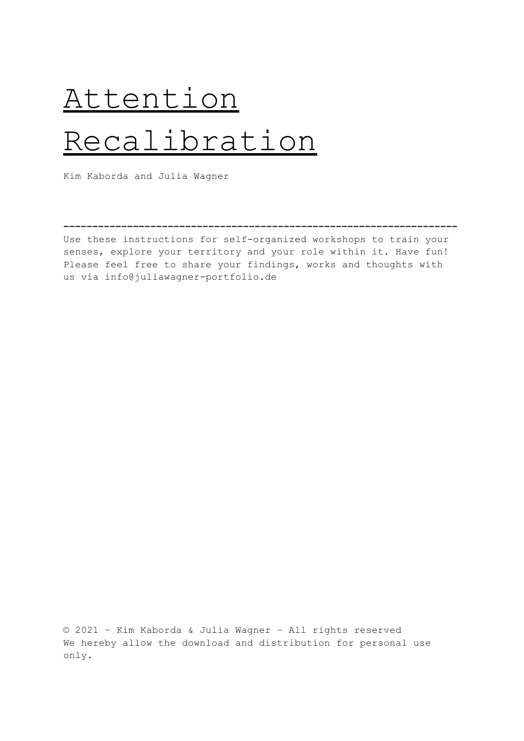# Attention Recalibration

Kim Kaborda and Julia Wagner

Use these instructions for self-organized workshops to train your senses, explore your territory and your role within it. Have fun! Please feel free to share your findings, works and thoughts with us via info@juliawagner-portfolio.de

**––––––––––––––––––––––––––––––––––––––––––––––––––––––––––––––––––––**

© 2021 – Kim Kaborda & Julia Wagner – All rights reserved We hereby allow the download and distribution for personal use only.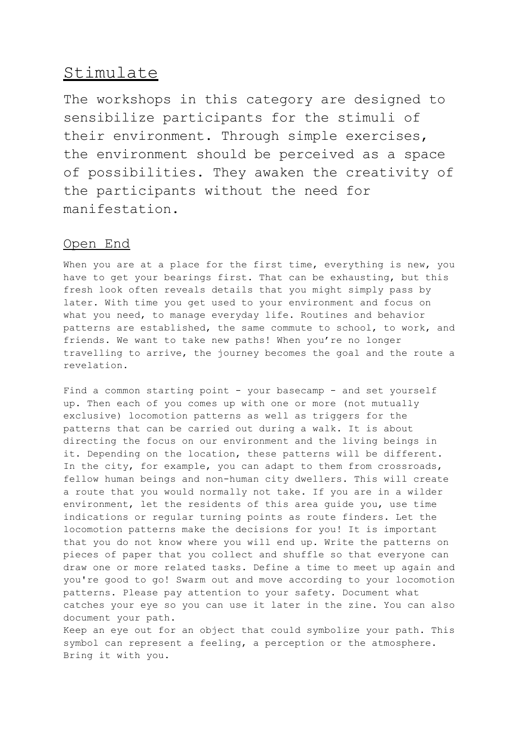# Stimulate

The workshops in this category are designed to sensibilize participants for the stimuli of their environment. Through simple exercises, the environment should be perceived as a space of possibilities. They awaken the creativity of the participants without the need for manifestation.

# Open End

When you are at a place for the first time, everything is new, you have to get your bearings first. That can be exhausting, but this fresh look often reveals details that you might simply pass by later. With time you get used to your environment and focus on what you need, to manage everyday life. Routines and behavior patterns are established, the same commute to school, to work, and friends. We want to take new paths! When you're no longer travelling to arrive, the journey becomes the goal and the route a revelation.

Find a common starting point - your basecamp - and set yourself up. Then each of you comes up with one or more (not mutually exclusive) locomotion patterns as well as triggers for the patterns that can be carried out during a walk. It is about directing the focus on our environment and the living beings in it. Depending on the location, these patterns will be different. In the city, for example, you can adapt to them from crossroads, fellow human beings and non-human city dwellers. This will create a route that you would normally not take. If you are in a wilder environment, let the residents of this area guide you, use time indications or regular turning points as route finders. Let the locomotion patterns make the decisions for you! It is important that you do not know where you will end up. Write the patterns on pieces of paper that you collect and shuffle so that everyone can draw one or more related tasks. Define a time to meet up again and you're good to go! Swarm out and move according to your locomotion patterns. Please pay attention to your safety. Document what catches your eye so you can use it later in the zine. You can also document your path.

Keep an eye out for an object that could symbolize your path. This symbol can represent a feeling, a perception or the atmosphere. Bring it with you.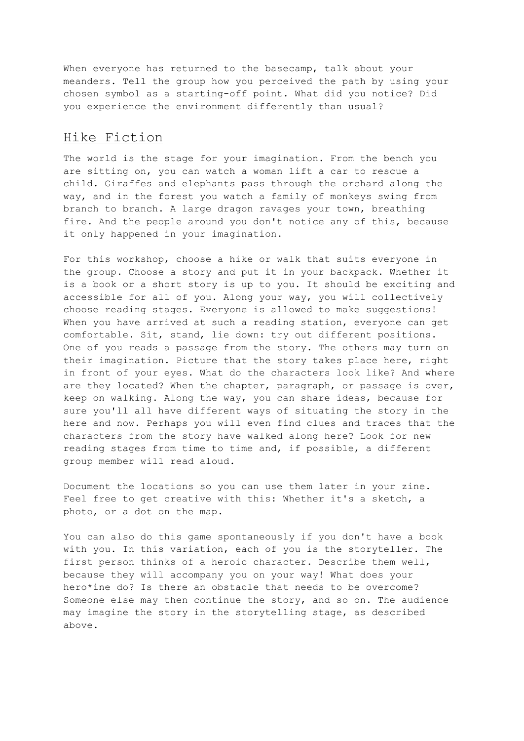When everyone has returned to the basecamp, talk about your meanders. Tell the group how you perceived the path by using your chosen symbol as a starting-off point. What did you notice? Did you experience the environment differently than usual?

## Hike Fiction

The world is the stage for your imagination. From the bench you are sitting on, you can watch a woman lift a car to rescue a child. Giraffes and elephants pass through the orchard along the way, and in the forest you watch a family of monkeys swing from branch to branch. A large dragon ravages your town, breathing fire. And the people around you don't notice any of this, because it only happened in your imagination.

For this workshop, choose a hike or walk that suits everyone in the group. Choose a story and put it in your backpack. Whether it is a book or a short story is up to you. It should be exciting and accessible for all of you. Along your way, you will collectively choose reading stages. Everyone is allowed to make suggestions! When you have arrived at such a reading station, everyone can get comfortable. Sit, stand, lie down: try out different positions. One of you reads a passage from the story. The others may turn on their imagination. Picture that the story takes place here, right in front of your eyes. What do the characters look like? And where are they located? When the chapter, paragraph, or passage is over, keep on walking. Along the way, you can share ideas, because for sure you'll all have different ways of situating the story in the here and now. Perhaps you will even find clues and traces that the characters from the story have walked along here? Look for new reading stages from time to time and, if possible, a different group member will read aloud.

Document the locations so you can use them later in your zine. Feel free to get creative with this: Whether it's a sketch, a photo, or a dot on the map.

You can also do this game spontaneously if you don't have a book with you. In this variation, each of you is the storyteller. The first person thinks of a heroic character. Describe them well, because they will accompany you on your way! What does your hero\*ine do? Is there an obstacle that needs to be overcome? Someone else may then continue the story, and so on. The audience may imagine the story in the storytelling stage, as described above.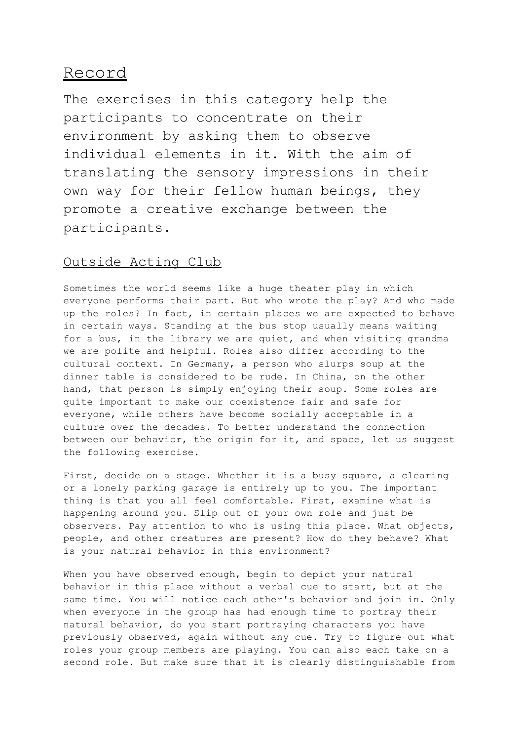# Record

The exercises in this category help the participants to concentrate on their environment by asking them to observe individual elements in it. With the aim of translating the sensory impressions in their own way for their fellow human beings, they promote a creative exchange between the participants.

## Outside Acting Club

Sometimes the world seems like a huge theater play in which everyone performs their part. But who wrote the play? And who made up the roles? In fact, in certain places we are expected to behave in certain ways. Standing at the bus stop usually means waiting for a bus, in the library we are quiet, and when visiting grandma we are polite and helpful. Roles also differ according to the cultural context. In Germany, a person who slurps soup at the dinner table is considered to be rude. In China, on the other hand, that person is simply enjoying their soup. Some roles are quite important to make our coexistence fair and safe for everyone, while others have become socially acceptable in a culture over the decades. To better understand the connection between our behavior, the origin for it, and space, let us suggest the following exercise.

First, decide on a stage. Whether it is a busy square, a clearing or a lonely parking garage is entirely up to you. The important thing is that you all feel comfortable. First, examine what is happening around you. Slip out of your own role and just be observers. Pay attention to who is using this place. What objects, people, and other creatures are present? How do they behave? What is your natural behavior in this environment?

When you have observed enough, begin to depict your natural behavior in this place without a verbal cue to start, but at the same time. You will notice each other's behavior and join in. Only when everyone in the group has had enough time to portray their natural behavior, do you start portraying characters you have previously observed, again without any cue. Try to figure out what roles your group members are playing. You can also each take on a second role. But make sure that it is clearly distinguishable from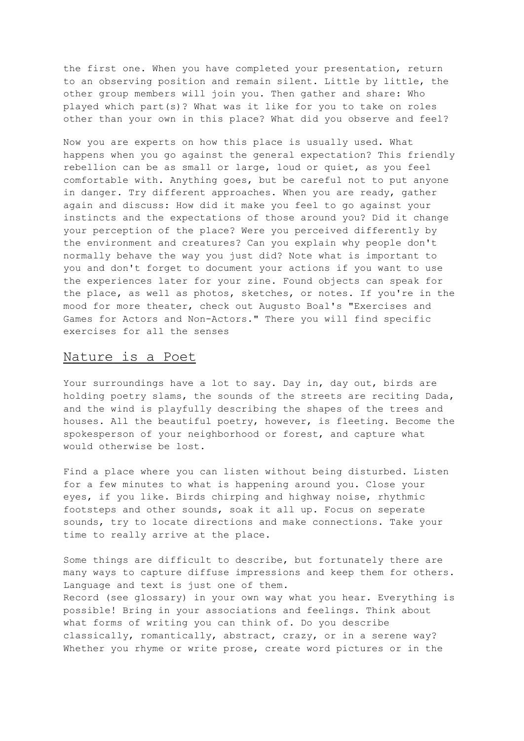the first one. When you have completed your presentation, return to an observing position and remain silent. Little by little, the other group members will join you. Then gather and share: Who played which part(s)? What was it like for you to take on roles other than your own in this place? What did you observe and feel?

Now you are experts on how this place is usually used. What happens when you go against the general expectation? This friendly rebellion can be as small or large, loud or quiet, as you feel comfortable with. Anything goes, but be careful not to put anyone in danger. Try different approaches. When you are ready, gather again and discuss: How did it make you feel to go against your instincts and the expectations of those around you? Did it change your perception of the place? Were you perceived differently by the environment and creatures? Can you explain why people don't normally behave the way you just did? Note what is important to you and don't forget to document your actions if you want to use the experiences later for your zine. Found objects can speak for the place, as well as photos, sketches, or notes. If you're in the mood for more theater, check out Augusto Boal's "Exercises and Games for Actors and Non-Actors." There you will find specific exercises for all the senses

#### Nature is a Poet

Your surroundings have a lot to say. Day in, day out, birds are holding poetry slams, the sounds of the streets are reciting Dada, and the wind is playfully describing the shapes of the trees and houses. All the beautiful poetry, however, is fleeting. Become the spokesperson of your neighborhood or forest, and capture what would otherwise be lost.

Find a place where you can listen without being disturbed. Listen for a few minutes to what is happening around you. Close your eyes, if you like. Birds chirping and highway noise, rhythmic footsteps and other sounds, soak it all up. Focus on seperate sounds, try to locate directions and make connections. Take your time to really arrive at the place.

Some things are difficult to describe, but fortunately there are many ways to capture diffuse impressions and keep them for others. Language and text is just one of them. Record (see glossary) in your own way what you hear. Everything is possible! Bring in your associations and feelings. Think about what forms of writing you can think of. Do you describe classically, romantically, abstract, crazy, or in a serene way? Whether you rhyme or write prose, create word pictures or in the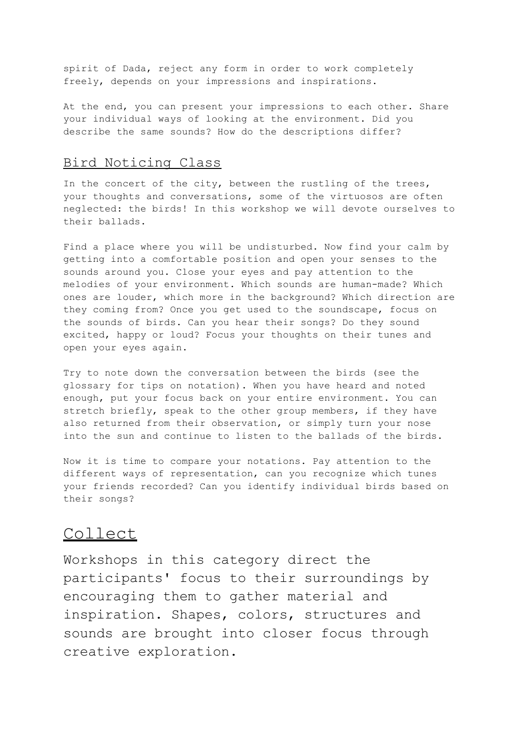spirit of Dada, reject any form in order to work completely freely, depends on your impressions and inspirations.

At the end, you can present your impressions to each other. Share your individual ways of looking at the environment. Did you describe the same sounds? How do the descriptions differ?

## Bird Noticing Class

In the concert of the city, between the rustling of the trees, your thoughts and conversations, some of the virtuosos are often neglected: the birds! In this workshop we will devote ourselves to their ballads.

Find a place where you will be undisturbed. Now find your calm by getting into a comfortable position and open your senses to the sounds around you. Close your eyes and pay attention to the melodies of your environment. Which sounds are human-made? Which ones are louder, which more in the background? Which direction are they coming from? Once you get used to the soundscape, focus on the sounds of birds. Can you hear their songs? Do they sound excited, happy or loud? Focus your thoughts on their tunes and open your eyes again.

Try to note down the conversation between the birds (see the glossary for tips on notation). When you have heard and noted enough, put your focus back on your entire environment. You can stretch briefly, speak to the other group members, if they have also returned from their observation, or simply turn your nose into the sun and continue to listen to the ballads of the birds.

Now it is time to compare your notations. Pay attention to the different ways of representation, can you recognize which tunes your friends recorded? Can you identify individual birds based on their songs?

# Collect

Workshops in this category direct the participants' focus to their surroundings by encouraging them to gather material and inspiration. Shapes, colors, structures and sounds are brought into closer focus through creative exploration.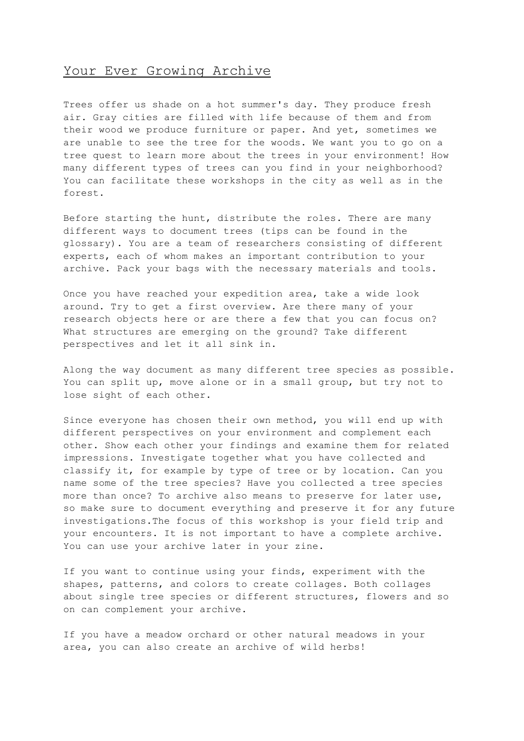## Your Ever Growing Archive

Trees offer us shade on a hot summer's day. They produce fresh air. Gray cities are filled with life because of them and from their wood we produce furniture or paper. And yet, sometimes we are unable to see the tree for the woods. We want you to go on a tree quest to learn more about the trees in your environment! How many different types of trees can you find in your neighborhood? You can facilitate these workshops in the city as well as in the forest.

Before starting the hunt, distribute the roles. There are many different ways to document trees (tips can be found in the glossary). You are a team of researchers consisting of different experts, each of whom makes an important contribution to your archive. Pack your bags with the necessary materials and tools.

Once you have reached your expedition area, take a wide look around. Try to get a first overview. Are there many of your research objects here or are there a few that you can focus on? What structures are emerging on the ground? Take different perspectives and let it all sink in.

Along the way document as many different tree species as possible. You can split up, move alone or in a small group, but try not to lose sight of each other.

Since everyone has chosen their own method, you will end up with different perspectives on your environment and complement each other. Show each other your findings and examine them for related impressions. Investigate together what you have collected and classify it, for example by type of tree or by location. Can you name some of the tree species? Have you collected a tree species more than once? To archive also means to preserve for later use, so make sure to document everything and preserve it for any future investigations.The focus of this workshop is your field trip and your encounters. It is not important to have a complete archive. You can use your archive later in your zine.

If you want to continue using your finds, experiment with the shapes, patterns, and colors to create collages. Both collages about single tree species or different structures, flowers and so on can complement your archive.

If you have a meadow orchard or other natural meadows in your area, you can also create an archive of wild herbs!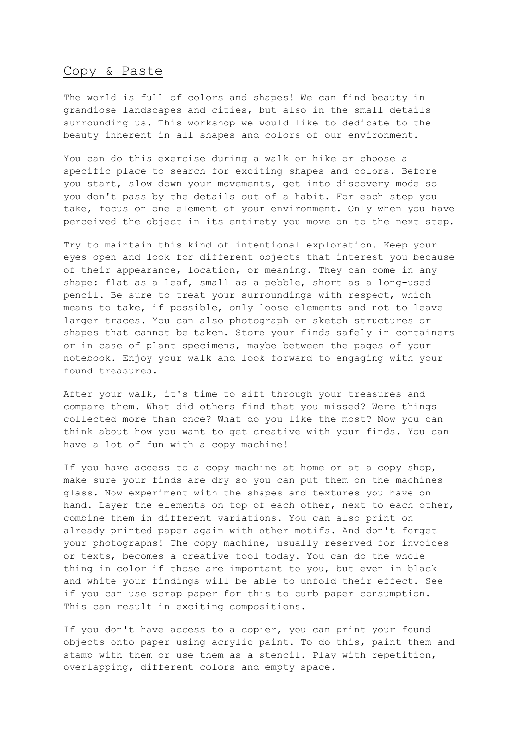#### Copy & Paste

The world is full of colors and shapes! We can find beauty in grandiose landscapes and cities, but also in the small details surrounding us. This workshop we would like to dedicate to the beauty inherent in all shapes and colors of our environment.

You can do this exercise during a walk or hike or choose a specific place to search for exciting shapes and colors. Before you start, slow down your movements, get into discovery mode so you don't pass by the details out of a habit. For each step you take, focus on one element of your environment. Only when you have perceived the object in its entirety you move on to the next step.

Try to maintain this kind of intentional exploration. Keep your eyes open and look for different objects that interest you because of their appearance, location, or meaning. They can come in any shape: flat as a leaf, small as a pebble, short as a long-used pencil. Be sure to treat your surroundings with respect, which means to take, if possible, only loose elements and not to leave larger traces. You can also photograph or sketch structures or shapes that cannot be taken. Store your finds safely in containers or in case of plant specimens, maybe between the pages of your notebook. Enjoy your walk and look forward to engaging with your found treasures.

After your walk, it's time to sift through your treasures and compare them. What did others find that you missed? Were things collected more than once? What do you like the most? Now you can think about how you want to get creative with your finds. You can have a lot of fun with a copy machine!

If you have access to a copy machine at home or at a copy shop, make sure your finds are dry so you can put them on the machines glass. Now experiment with the shapes and textures you have on hand. Layer the elements on top of each other, next to each other, combine them in different variations. You can also print on already printed paper again with other motifs. And don't forget your photographs! The copy machine, usually reserved for invoices or texts, becomes a creative tool today. You can do the whole thing in color if those are important to you, but even in black and white your findings will be able to unfold their effect. See if you can use scrap paper for this to curb paper consumption. This can result in exciting compositions.

If you don't have access to a copier, you can print your found objects onto paper using acrylic paint. To do this, paint them and stamp with them or use them as a stencil. Play with repetition, overlapping, different colors and empty space.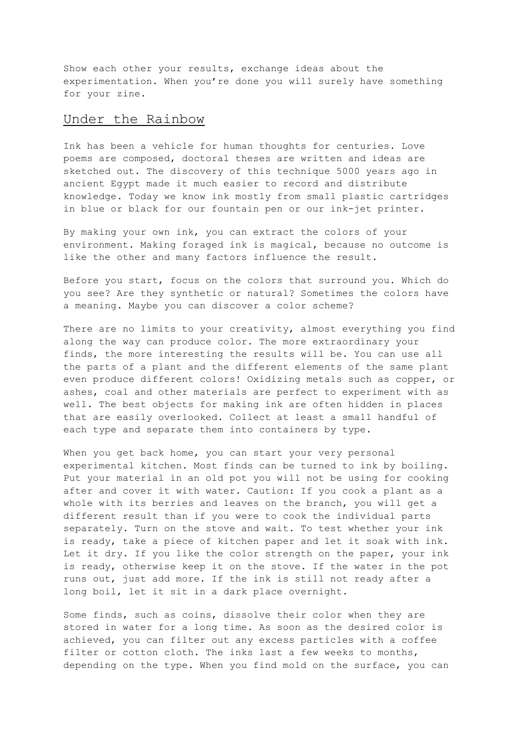Show each other your results, exchange ideas about the experimentation. When you're done you will surely have something for your zine.

#### Under the Rainbow

Ink has been a vehicle for human thoughts for centuries. Love poems are composed, doctoral theses are written and ideas are sketched out. The discovery of this technique 5000 years ago in ancient Egypt made it much easier to record and distribute knowledge. Today we know ink mostly from small plastic cartridges in blue or black for our fountain pen or our ink-jet printer.

By making your own ink, you can extract the colors of your environment. Making foraged ink is magical, because no outcome is like the other and many factors influence the result.

Before you start, focus on the colors that surround you. Which do you see? Are they synthetic or natural? Sometimes the colors have a meaning. Maybe you can discover a color scheme?

There are no limits to your creativity, almost everything you find along the way can produce color. The more extraordinary your finds, the more interesting the results will be. You can use all the parts of a plant and the different elements of the same plant even produce different colors! Oxidizing metals such as copper, or ashes, coal and other materials are perfect to experiment with as well. The best objects for making ink are often hidden in places that are easily overlooked. Collect at least a small handful of each type and separate them into containers by type.

When you get back home, you can start your very personal experimental kitchen. Most finds can be turned to ink by boiling. Put your material in an old pot you will not be using for cooking after and cover it with water. Caution: If you cook a plant as a whole with its berries and leaves on the branch, you will get a different result than if you were to cook the individual parts separately. Turn on the stove and wait. To test whether your ink is ready, take a piece of kitchen paper and let it soak with ink. Let it dry. If you like the color strength on the paper, your ink is ready, otherwise keep it on the stove. If the water in the pot runs out, just add more. If the ink is still not ready after a long boil, let it sit in a dark place overnight.

Some finds, such as coins, dissolve their color when they are stored in water for a long time. As soon as the desired color is achieved, you can filter out any excess particles with a coffee filter or cotton cloth. The inks last a few weeks to months, depending on the type. When you find mold on the surface, you can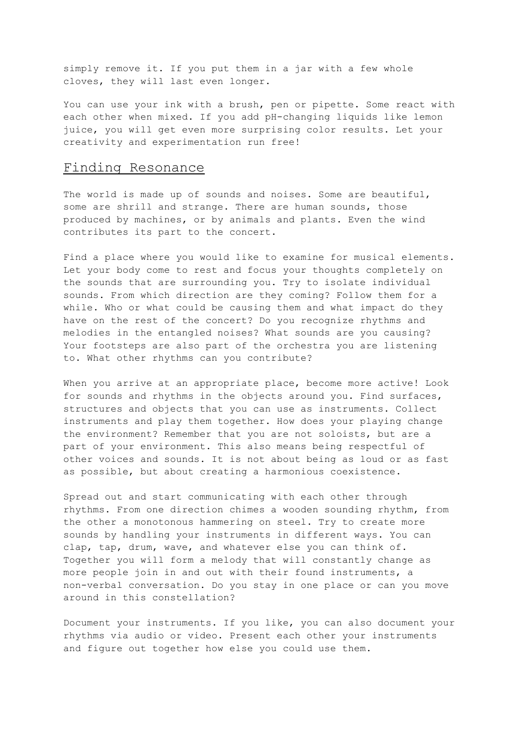simply remove it. If you put them in a jar with a few whole cloves, they will last even longer.

You can use your ink with a brush, pen or pipette. Some react with each other when mixed. If you add pH-changing liquids like lemon juice, you will get even more surprising color results. Let your creativity and experimentation run free!

# Finding Resonance

The world is made up of sounds and noises. Some are beautiful, some are shrill and strange. There are human sounds, those produced by machines, or by animals and plants. Even the wind contributes its part to the concert.

Find a place where you would like to examine for musical elements. Let your body come to rest and focus your thoughts completely on the sounds that are surrounding you. Try to isolate individual sounds. From which direction are they coming? Follow them for a while. Who or what could be causing them and what impact do they have on the rest of the concert? Do you recognize rhythms and melodies in the entangled noises? What sounds are you causing? Your footsteps are also part of the orchestra you are listening to. What other rhythms can you contribute?

When you arrive at an appropriate place, become more active! Look for sounds and rhythms in the objects around you. Find surfaces, structures and objects that you can use as instruments. Collect instruments and play them together. How does your playing change the environment? Remember that you are not soloists, but are a part of your environment. This also means being respectful of other voices and sounds. It is not about being as loud or as fast as possible, but about creating a harmonious coexistence.

Spread out and start communicating with each other through rhythms. From one direction chimes a wooden sounding rhythm, from the other a monotonous hammering on steel. Try to create more sounds by handling your instruments in different ways. You can clap, tap, drum, wave, and whatever else you can think of. Together you will form a melody that will constantly change as more people join in and out with their found instruments, a non-verbal conversation. Do you stay in one place or can you move around in this constellation?

Document your instruments. If you like, you can also document your rhythms via audio or video. Present each other your instruments and figure out together how else you could use them.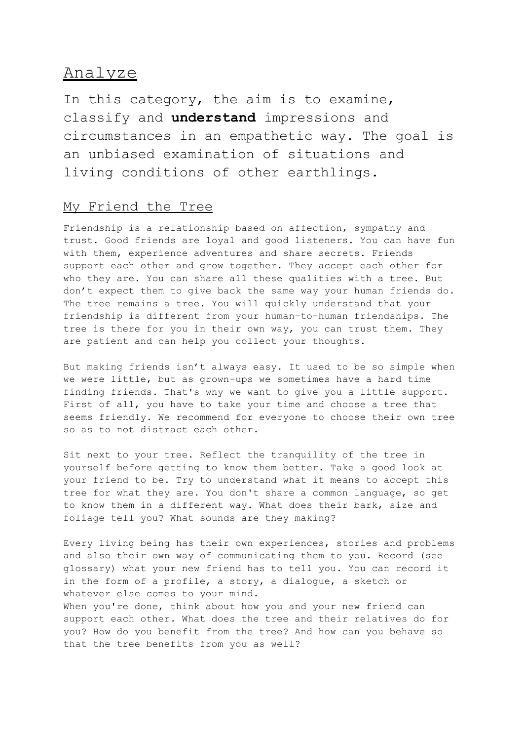# Analyze

In this category, the aim is to examine, classify and **understand** impressions and circumstances in an empathetic way. The goal is an unbiased examination of situations and living conditions of other earthlings.

## My Friend the Tree

Friendship is a relationship based on affection, sympathy and trust. Good friends are loyal and good listeners. You can have fun with them, experience adventures and share secrets. Friends support each other and grow together. They accept each other for who they are. You can share all these qualities with a tree. But don't expect them to give back the same way your human friends do. The tree remains a tree. You will quickly understand that your friendship is different from your human-to-human friendships. The tree is there for you in their own way, you can trust them. They are patient and can help you collect your thoughts.

But making friends isn't always easy. It used to be so simple when we were little, but as grown-ups we sometimes have a hard time finding friends. That's why we want to give you a little support. First of all, you have to take your time and choose a tree that seems friendly. We recommend for everyone to choose their own tree so as to not distract each other.

Sit next to your tree. Reflect the tranquility of the tree in yourself before getting to know them better. Take a good look at your friend to be. Try to understand what it means to accept this tree for what they are. You don't share a common language, so get to know them in a different way. What does their bark, size and foliage tell you? What sounds are they making?

Every living being has their own experiences, stories and problems and also their own way of communicating them to you. Record (see glossary) what your new friend has to tell you. You can record it in the form of a profile, a story, a dialogue, a sketch or whatever else comes to your mind.

When you're done, think about how you and your new friend can support each other. What does the tree and their relatives do for you? How do you benefit from the tree? And how can you behave so that the tree benefits from you as well?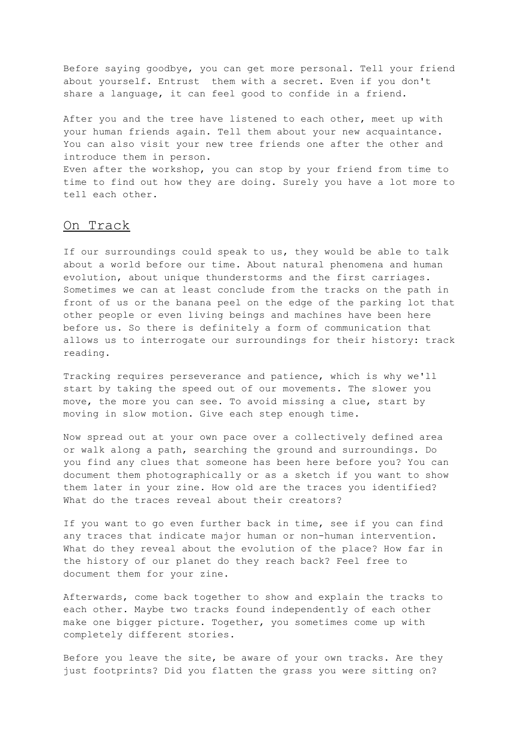Before saying goodbye, you can get more personal. Tell your friend about yourself. Entrust them with a secret. Even if you don't share a language, it can feel good to confide in a friend.

After you and the tree have listened to each other, meet up with your human friends again. Tell them about your new acquaintance. You can also visit your new tree friends one after the other and introduce them in person.

Even after the workshop, you can stop by your friend from time to time to find out how they are doing. Surely you have a lot more to tell each other.

#### On Track

If our surroundings could speak to us, they would be able to talk about a world before our time. About natural phenomena and human evolution, about unique thunderstorms and the first carriages. Sometimes we can at least conclude from the tracks on the path in front of us or the banana peel on the edge of the parking lot that other people or even living beings and machines have been here before us. So there is definitely a form of communication that allows us to interrogate our surroundings for their history: track reading.

Tracking requires perseverance and patience, which is why we'll start by taking the speed out of our movements. The slower you move, the more you can see. To avoid missing a clue, start by moving in slow motion. Give each step enough time.

Now spread out at your own pace over a collectively defined area or walk along a path, searching the ground and surroundings. Do you find any clues that someone has been here before you? You can document them photographically or as a sketch if you want to show them later in your zine. How old are the traces you identified? What do the traces reveal about their creators?

If you want to go even further back in time, see if you can find any traces that indicate major human or non-human intervention. What do they reveal about the evolution of the place? How far in the history of our planet do they reach back? Feel free to document them for your zine.

Afterwards, come back together to show and explain the tracks to each other. Maybe two tracks found independently of each other make one bigger picture. Together, you sometimes come up with completely different stories.

Before you leave the site, be aware of your own tracks. Are they just footprints? Did you flatten the grass you were sitting on?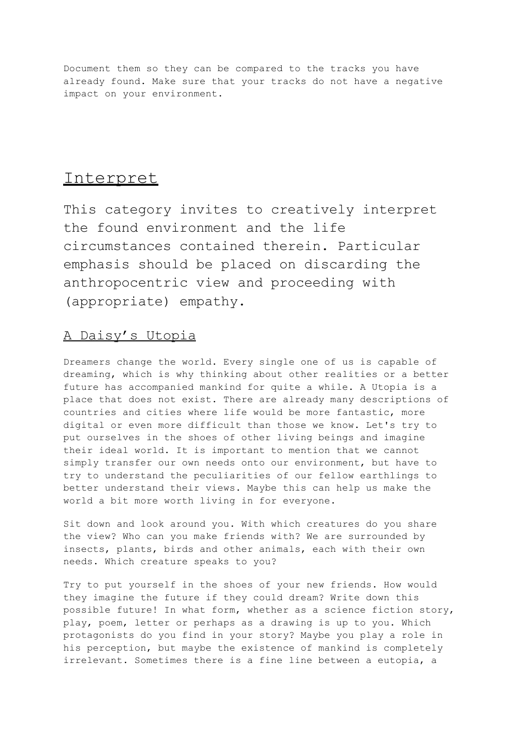Document them so they can be compared to the tracks you have already found. Make sure that your tracks do not have a negative impact on your environment.

# Interpret

This category invites to creatively interpret the found environment and the life circumstances contained therein. Particular emphasis should be placed on discarding the anthropocentric view and proceeding with (appropriate) empathy.

# A Daisy's Utopia

Dreamers change the world. Every single one of us is capable of dreaming, which is why thinking about other realities or a better future has accompanied mankind for quite a while. A Utopia is a place that does not exist. There are already many descriptions of countries and cities where life would be more fantastic, more digital or even more difficult than those we know. Let's try to put ourselves in the shoes of other living beings and imagine their ideal world. It is important to mention that we cannot simply transfer our own needs onto our environment, but have to try to understand the peculiarities of our fellow earthlings to better understand their views. Maybe this can help us make the world a bit more worth living in for everyone.

Sit down and look around you. With which creatures do you share the view? Who can you make friends with? We are surrounded by insects, plants, birds and other animals, each with their own needs. Which creature speaks to you?

Try to put yourself in the shoes of your new friends. How would they imagine the future if they could dream? Write down this possible future! In what form, whether as a science fiction story, play, poem, letter or perhaps as a drawing is up to you. Which protagonists do you find in your story? Maybe you play a role in his perception, but maybe the existence of mankind is completely irrelevant. Sometimes there is a fine line between a eutopia, a